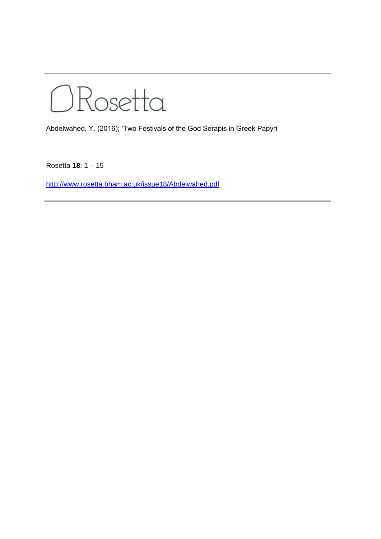ORosetta

Abdelwahed, Y. (2016); 'Two Festivals of the God Serapis in Greek Papyri'

Rosetta **18**: 1 – 15

<http://www.rosetta.bham.ac.uk/issue18/Abdelwahed.pdf>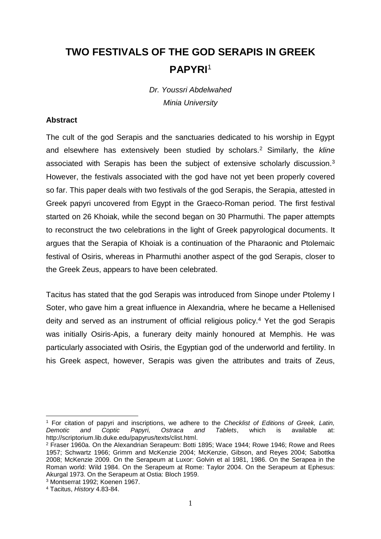## **TWO FESTIVALS OF THE GOD SERAPIS IN GREEK PAPYRI**<sup>1</sup>

*Dr. Youssri Abdelwahed Minia University*

## **Abstract**

The cult of the god Serapis and the sanctuaries dedicated to his worship in Egypt and elsewhere has extensively been studied by scholars.<sup>2</sup> Similarly, the *kline* associated with Serapis has been the subject of extensive scholarly discussion.<sup>3</sup> However, the festivals associated with the god have not yet been properly covered so far. This paper deals with two festivals of the god Serapis, the Serapia, attested in Greek papyri uncovered from Egypt in the Graeco-Roman period. The first festival started on 26 Khoiak, while the second began on 30 Pharmuthi. The paper attempts to reconstruct the two celebrations in the light of Greek papyrological documents. It argues that the Serapia of Khoiak is a continuation of the Pharaonic and Ptolemaic festival of Osiris, whereas in Pharmuthi another aspect of the god Serapis, closer to the Greek Zeus, appears to have been celebrated.

Tacitus has stated that the god Serapis was introduced from Sinope under Ptolemy I Soter, who gave him a great influence in Alexandria, where he became a Hellenised deity and served as an instrument of official religious policy.<sup>4</sup> Yet the god Serapis was initially Osiris-Apis, a funerary deity mainly honoured at Memphis. He was particularly associated with Osiris, the Egyptian god of the underworld and fertility. In his Greek aspect, however, Serapis was given the attributes and traits of Zeus,

<sup>1</sup> For citation of papyri and inscriptions, we adhere to the *Checklist of Editions of Greek, Latin, Demotic and Coptic Papyri, Ostraca and Tablets*, which is available at: http://scriptorium.lib.duke.edu/papyrus/texts/clist.html.

<sup>2</sup> Fraser 1960a. On the Alexandrian Serapeum: Botti 1895; Wace 1944; Rowe 1946; Rowe and Rees 1957; Schwartz 1966; Grimm and McKenzie 2004; McKenzie, Gibson, and Reyes 2004; Sabottka 2008; McKenzie 2009. On the Serapeum at Luxor: Golvin et al 1981, 1986. On the Serapea in the Roman world: Wild 1984. On the Serapeum at Rome: Taylor 2004. On the Serapeum at Ephesus: Akurgal 1973. On the Serapeum at Ostia: Bloch 1959.

<sup>3</sup> Montserrat 1992; Koenen 1967.

<sup>4</sup> Tacitus, *History* 4.83-84.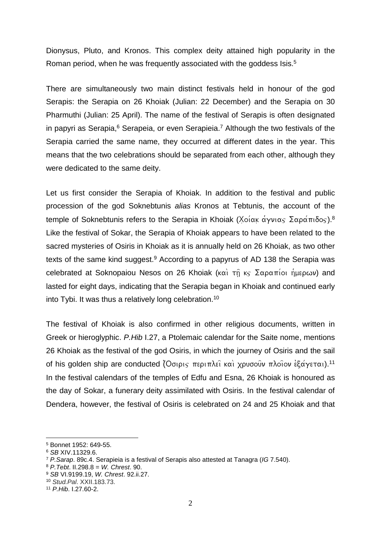Dionysus, Pluto, and Kronos. This complex deity attained high popularity in the Roman period, when he was frequently associated with the goddess Isis.<sup>5</sup>

There are simultaneously two main distinct festivals held in honour of the god Serapis: the Serapia on 26 Khoiak (Julian: 22 December) and the Serapia on 30 Pharmuthi (Julian: 25 April). The name of the festival of Serapis is often designated in papyri as Serapia,<sup>6</sup> Serapeia, or even Serapieia.<sup>7</sup> Although the two festivals of the Serapia carried the same name, they occurred at different dates in the year. This means that the two celebrations should be separated from each other, although they were dedicated to the same deity.

Let us first consider the Serapia of Khoiak. In addition to the festival and public procession of the god Soknebtunis *alias* Kronos at Tebtunis, the account of the temple of Soknebtunis refers to the Serapia in Khoiak (Χοίακ άγνιας Σαράπιδος).<sup>8</sup> Like the festival of Sokar, the Serapia of Khoiak appears to have been related to the sacred mysteries of Osiris in Khoiak as it is annually held on 26 Khoiak, as two other texts of the same kind suggest.<sup>9</sup> According to a papyrus of AD 138 the Serapia was celebrated at Soknopaiou Nesos on 26 Khoiak ( $k\alpha$ )  $\tau_{\text{II}}$   $k_{\text{S}}$   $\Sigma\alpha\rho\alpha\pi$ ioi ήμερων) and lasted for eight days, indicating that the Serapia began in Khoiak and continued early into Tybi. It was thus a relatively long celebration. 10

The festival of Khoiak is also confirmed in other religious documents, written in Greek or hieroglyphic. *P.Hib* I.27, a Ptolemaic calendar for the Saite nome, mentions 26 Khoiak as the festival of the god Osiris, in which the journey of Osiris and the sail of his golden ship are conducted (Όσιρις περιπλεῖ καὶ χρυσοῦν πλοῖον ἐξάγεται).<sup>11</sup> In the festival calendars of the temples of Edfu and Esna, 26 Khoiak is honoured as the day of Sokar, a funerary deity assimilated with Osiris. In the festival calendar of Dendera, however, the festival of Osiris is celebrated on 24 and 25 Khoiak and that

<sup>5</sup> Bonnet 1952: 649-55.

<sup>6</sup> *SB* XIV.11329.6.

<sup>7</sup> *P.Sarap*. 89c.4. Serapieia is a festival of Serapis also attested at Tanagra (*IG* 7.540).

<sup>8</sup> *P.Tebt*. II.298.8 = *W. Chrest*. 90.

<sup>9</sup> *SB* VI.9199.19, *W. Chrest*. 92.ii.27.

<sup>10</sup> *Stud.Pal*. XXII.183.73.

<sup>11</sup> *P.Hib*. I.27.60-2.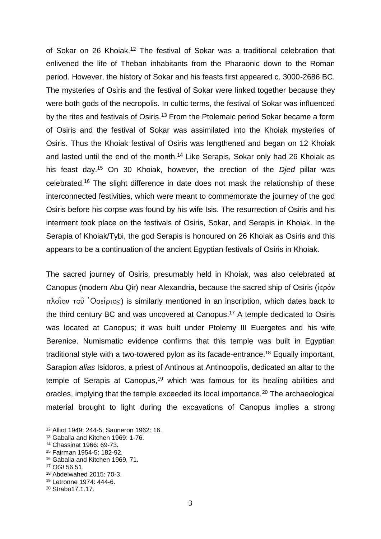of Sokar on 26 Khoiak. <sup>12</sup> The festival of Sokar was a traditional celebration that enlivened the life of Theban inhabitants from the Pharaonic down to the Roman period. However, the history of Sokar and his feasts first appeared c. 3000-2686 BC. The mysteries of Osiris and the festival of Sokar were linked together because they were both gods of the necropolis. In cultic terms, the festival of Sokar was influenced by the rites and festivals of Osiris.<sup>13</sup> From the Ptolemaic period Sokar became a form of Osiris and the festival of Sokar was assimilated into the Khoiak mysteries of Osiris. Thus the Khoiak festival of Osiris was lengthened and began on 12 Khoiak and lasted until the end of the month.<sup>14</sup> Like Serapis, Sokar only had 26 Khoiak as his feast day.<sup>15</sup> On 30 Khoiak, however, the erection of the *Djed* pillar was celebrated.<sup>16</sup> The slight difference in date does not mask the relationship of these interconnected festivities, which were meant to commemorate the journey of the god Osiris before his corpse was found by his wife Isis. The resurrection of Osiris and his interment took place on the festivals of Osiris, Sokar, and Serapis in Khoiak. In the Serapia of Khoiak/Tybi, the god Serapis is honoured on 26 Khoiak as Osiris and this appears to be a continuation of the ancient Egyptian festivals of Osiris in Khoiak.

The sacred journey of Osiris, presumably held in Khoiak, was also celebrated at Canopus (modern Abu Qir) near Alexandria, because the sacred ship of Osiris ( $i\epsilon\rho\grave{o}v$  $\pi\lambda$ oiov του 'Οσείριος) is similarly mentioned in an inscription, which dates back to the third century BC and was uncovered at Canopus. <sup>17</sup> A temple dedicated to Osiris was located at Canopus; it was built under Ptolemy III Euergetes and his wife Berenice. Numismatic evidence confirms that this temple was built in Egyptian traditional style with a two-towered pylon as its facade-entrance.<sup>18</sup> Equally important, Sarapion *alias* Isidoros, a priest of Antinous at Antinoopolis, dedicated an altar to the temple of Serapis at Canopus,<sup>19</sup> which was famous for its healing abilities and oracles, implying that the temple exceeded its local importance.<sup>20</sup> The archaeological material brought to light during the excavations of Canopus implies a strong

 $\overline{a}$ 

<sup>12</sup> Alliot 1949: 244-5; Sauneron 1962: 16.

<sup>13</sup> Gaballa and Kitchen 1969: 1-76.

<sup>14</sup> Chassinat 1966: 69-73.

<sup>15</sup> Fairman 1954-5: 182-92.

<sup>16</sup> Gaballa and Kitchen 1969, 71.

<sup>17</sup> *OGI* 56.51.

<sup>18</sup> Abdelwahed 2015: 70-3.

<sup>19</sup> Letronne 1974: 444-6.

<sup>20</sup> Strabo17.1.17.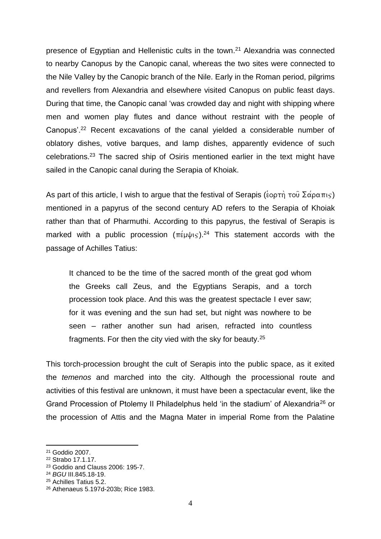presence of Egyptian and Hellenistic cults in the town.<sup>21</sup> Alexandria was connected to nearby Canopus by the Canopic canal, whereas the two sites were connected to the Nile Valley by the Canopic branch of the Nile. Early in the Roman period, pilgrims and revellers from Alexandria and elsewhere visited Canopus on public feast days. During that time, the Canopic canal 'was crowded day and night with shipping where men and women play flutes and dance without restraint with the people of Canopus'.<sup>22</sup> Recent excavations of the canal yielded a considerable number of oblatory dishes, votive barques, and lamp dishes, apparently evidence of such celebrations.<sup>23</sup> The sacred ship of Osiris mentioned earlier in the text might have sailed in the Canopic canal during the Serapia of Khoiak.

As part of this article, I wish to argue that the festival of Serapis ( $\epsilon$ optor)  $\tau$ ou  $\Sigma\alpha\rho\alpha\pi$ mentioned in a papyrus of the second century AD refers to the Serapia of Khoiak rather than that of Pharmuthi. According to this papyrus, the festival of Serapis is marked with a public procession  $(\pi \in \mathbb{R})^{24}$  This statement accords with the passage of Achilles Tatius:

It chanced to be the time of the sacred month of the great god whom the Greeks call Zeus, and the Egyptians Serapis, and a torch procession took place. And this was the greatest spectacle I ever saw; for it was evening and the sun had set, but night was nowhere to be seen – rather another sun had arisen, refracted into countless fragments. For then the city vied with the sky for beauty.<sup>25</sup>

This torch-procession brought the cult of Serapis into the public space, as it exited the *temenos* and marched into the city. Although the processional route and activities of this festival are unknown, it must have been a spectacular event, like the Grand Procession of Ptolemy II Philadelphus held 'in the stadium' of Alexandria<sup>26</sup> or the procession of Attis and the Magna Mater in imperial Rome from the Palatine

1

<sup>21</sup> Goddio 2007.

<sup>22</sup> Strabo 17.1.17.

<sup>23</sup> Goddio and Clauss 2006: 195-7.

<sup>24</sup> *BGU* III.845.18-19.

<sup>25</sup> Achilles Tatius 5.2.

<sup>26</sup> Athenaeus 5.197d-203b; Rice 1983.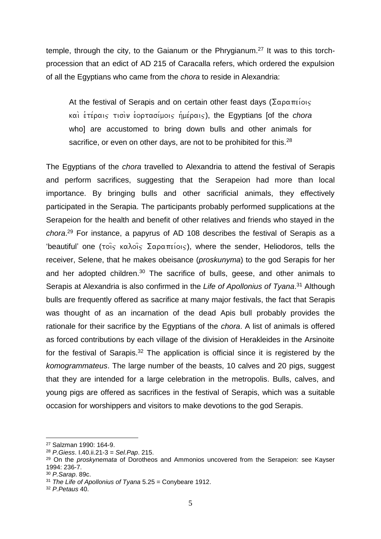temple, through the city, to the Gaianum or the Phrygianum.<sup>27</sup> It was to this torchprocession that an edict of AD 215 of Caracalla refers, which ordered the expulsion of all the Egyptians who came from the *chora* to reside in Alexandria:

At the festival of Serapis and on certain other feast days ( $\Sigma \alpha \rho \alpha \pi \epsilon i \omega \varsigma$ ) kai\ e9te/raij tisi\n e9ortasi/moij h9me/raij), the Egyptians [of the *chora*  who] are accustomed to bring down bulls and other animals for sacrifice, or even on other days, are not to be prohibited for this.<sup>28</sup>

The Egyptians of the *chora* travelled to Alexandria to attend the festival of Serapis and perform sacrifices, suggesting that the Serapeion had more than local importance. By bringing bulls and other sacrificial animals, they effectively participated in the Serapia. The participants probably performed supplications at the Serapeion for the health and benefit of other relatives and friends who stayed in the *chora*. <sup>29</sup> For instance, a papyrus of AD 108 describes the festival of Serapis as a 'beautiful' one ( $\tau$ οις καλοις Σαραπείοις), where the sender, Heliodoros, tells the receiver, Selene, that he makes obeisance (*proskunyma*) to the god Serapis for her and her adopted children.<sup>30</sup> The sacrifice of bulls, geese, and other animals to Serapis at Alexandria is also confirmed in the *Life of Apollonius of Tyana*. <sup>31</sup> Although bulls are frequently offered as sacrifice at many major festivals, the fact that Serapis was thought of as an incarnation of the dead Apis bull probably provides the rationale for their sacrifice by the Egyptians of the *chora*. A list of animals is offered as forced contributions by each village of the division of Herakleides in the Arsinoite for the festival of Sarapis.<sup>32</sup> The application is official since it is registered by the *komogrammateus*. The large number of the beasts, 10 calves and 20 pigs, suggest that they are intended for a large celebration in the metropolis. Bulls, calves, and young pigs are offered as sacrifices in the festival of Serapis, which was a suitable occasion for worshippers and visitors to make devotions to the god Serapis.

<sup>27</sup> Salzman 1990: 164-9.

<sup>28</sup> *P.Giess*. I.40.ii.21-3 = *Sel.Pap*. 215.

<sup>29</sup> On the *proskynemata* of Dorotheos and Ammonios uncovered from the Serapeion: see Kayser 1994: 236-7.

<sup>30</sup> *P.Sarap*. 89c.

<sup>31</sup> *The Life of Apollonius of Tyana* 5.25 = Conybeare 1912.

<sup>32</sup> *P.Petaus* 40.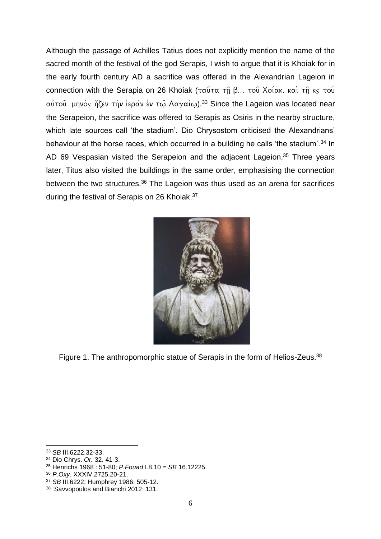Although the passage of Achilles Tatius does not explicitly mention the name of the sacred month of the festival of the god Serapis, I wish to argue that it is Khoiak for in the early fourth century AD a sacrifice was offered in the Alexandrian Lageion in connection with the Serapia on 26 Khoiak (ταύτα τη β... του Χοίακ. και τη κς του αὐτοῦ μηνὸς ἦζεν τὴν ἱεράν ἐν τῷ Λαγαίῳ).<sup>33</sup> Since the Lageion was located near the Serapeion, the sacrifice was offered to Serapis as Osiris in the nearby structure, which late sources call 'the stadium'. Dio Chrysostom criticised the Alexandrians' behaviour at the horse races, which occurred in a building he calls 'the stadium'.<sup>34</sup> In AD 69 Vespasian visited the Serapeion and the adjacent Lageion.<sup>35</sup> Three years later, Titus also visited the buildings in the same order, emphasising the connection between the two structures.<sup>36</sup> The Lageion was thus used as an arena for sacrifices during the festival of Serapis on 26 Khoiak.<sup>37</sup>



Figure 1. The anthropomorphic statue of Serapis in the form of Helios-Zeus.<sup>38</sup>

<sup>1</sup> <sup>33</sup> *SB* III.6222.32-33.

<sup>34</sup> Dio Chrys. *Or.* 32. 41-3.

<sup>35</sup> Henrichs 1968 : 51-80; *P.Fouad* I.8.10 = *SB* 16.12225.

<sup>36</sup> *P.Oxy*. XXXIV.2725.20-21.

<sup>37</sup> *SB* III.6222; Humphrey 1986: 505-12.

<sup>38</sup> Savvopoulos and Bianchi 2012: 131.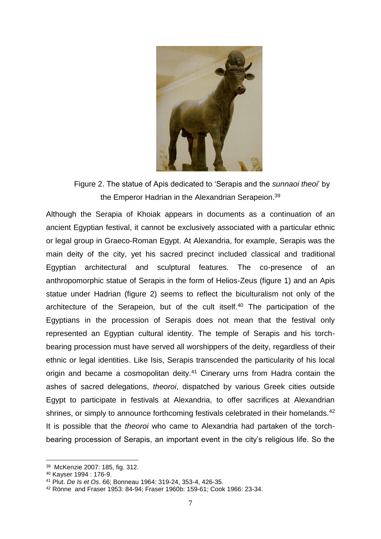

Figure 2. The statue of Apis dedicated to 'Serapis and the *sunnaoi theoi*' by the Emperor Hadrian in the Alexandrian Serapeion.<sup>39</sup>

Although the Serapia of Khoiak appears in documents as a continuation of an ancient Egyptian festival, it cannot be exclusively associated with a particular ethnic or legal group in Graeco-Roman Egypt. At Alexandria, for example, Serapis was the main deity of the city, yet his sacred precinct included classical and traditional Egyptian architectural and sculptural features. The co-presence of an anthropomorphic statue of Serapis in the form of Helios-Zeus (figure 1) and an Apis statue under Hadrian (figure 2) seems to reflect the biculturalism not only of the architecture of the Serapeion, but of the cult itself.<sup>40</sup> The participation of the Egyptians in the procession of Serapis does not mean that the festival only represented an Egyptian cultural identity. The temple of Serapis and his torchbearing procession must have served all worshippers of the deity, regardless of their ethnic or legal identities. Like Isis, Serapis transcended the particularity of his local origin and became a cosmopolitan deity.<sup>41</sup> Cinerary urns from Hadra contain the ashes of sacred delegations, *theoroi*, dispatched by various Greek cities outside Egypt to participate in festivals at Alexandria, to offer sacrifices at Alexandrian shrines, or simply to announce forthcoming festivals celebrated in their homelands.<sup>42</sup> It is possible that the *theoroi* who came to Alexandria had partaken of the torchbearing procession of Serapis, an important event in the city's religious life. So the

<sup>39</sup> McKenzie 2007: 185, fig. 312.

<sup>40</sup> Kayser 1994 : 176-9.

<sup>41</sup> Plut. *De Is et Os*. 66; Bonneau 1964: 319-24, 353-4, 426-35.

<sup>42</sup> Rönne and Fraser 1953: 84-94; Fraser 1960b: 159-61; Cook 1966: 23-34.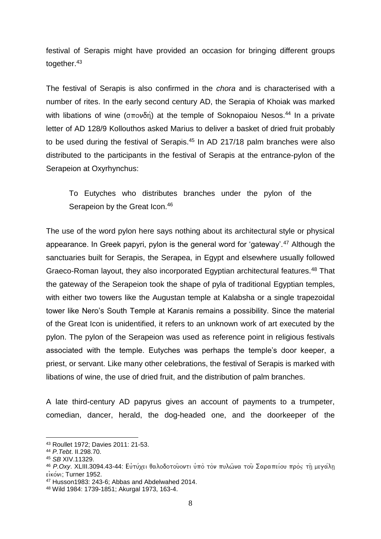festival of Serapis might have provided an occasion for bringing different groups together.<sup>43</sup>

The festival of Serapis is also confirmed in the *chora* and is characterised with a number of rites. In the early second century AD, the Serapia of Khoiak was marked with libations of wine ( $\sigma \pi \circ \nu \delta n$ ) at the temple of Soknopaiou Nesos.<sup>44</sup> In a private letter of AD 128/9 Kollouthos asked Marius to deliver a basket of dried fruit probably to be used during the festival of Serapis.<sup>45</sup> In AD 217/18 palm branches were also distributed to the participants in the festival of Serapis at the entrance-pylon of the Serapeion at Oxyrhynchus:

To Eutyches who distributes branches under the pylon of the Serapeion by the Great Icon.<sup>46</sup>

The use of the word pylon here says nothing about its architectural style or physical appearance. In Greek papyri, pylon is the general word for 'gateway'.<sup>47</sup> Although the sanctuaries built for Serapis, the Serapea, in Egypt and elsewhere usually followed Graeco-Roman layout, they also incorporated Egyptian architectural features.<sup>48</sup> That the gateway of the Serapeion took the shape of pyla of traditional Egyptian temples, with either two towers like the Augustan temple at Kalabsha or a single trapezoidal tower like Nero's South Temple at Karanis remains a possibility. Since the material of the Great Icon is unidentified, it refers to an unknown work of art executed by the pylon. The pylon of the Serapeion was used as reference point in religious festivals associated with the temple. Eutyches was perhaps the temple's door keeper, a priest, or servant. Like many other celebrations, the festival of Serapis is marked with libations of wine, the use of dried fruit, and the distribution of palm branches.

A late third-century AD papyrus gives an account of payments to a trumpeter, comedian, dancer, herald, the dog-headed one, and the doorkeeper of the

<sup>43</sup> Roullet 1972; Davies 2011: 21-53.

<sup>44</sup> *P.Tebt*. II.298.70.

<sup>45</sup> *SB* XIV.11329.

<sup>&</sup>lt;sup>46</sup> *P.Oxy. XLIII.3094.43-44: Ευτύχει θαλοδοτο*υοντι υπό τον πυλώνα του Σαραπείου προς τη μεγάλη εικόνι: Turner 1952.

<sup>47</sup> Husson1983: 243-6; Abbas and Abdelwahed 2014.

<sup>48</sup> Wild 1984: 1739-1851; Akurgal 1973, 163-4.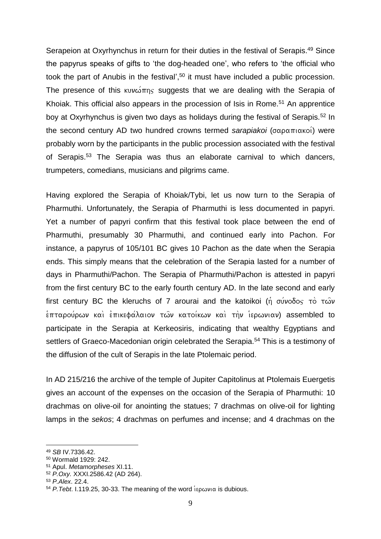Serapeion at Oxyrhynchus in return for their duties in the festival of Serapis.<sup>49</sup> Since the papyrus speaks of gifts to 'the dog-headed one', who refers to 'the official who took the part of Anubis in the festival', <sup>50</sup> it must have included a public procession. The presence of this kuv $\omega$  $\pi$ ns suggests that we are dealing with the Serapia of Khoiak. This official also appears in the procession of Isis in Rome.<sup>51</sup> An apprentice boy at Oxyrhynchus is given two days as holidays during the festival of Serapis.<sup>52</sup> In the second century AD two hundred crowns termed *sarapiakoi* (σαραπιακοί) were probably worn by the participants in the public procession associated with the festival of Serapis.<sup>53</sup> The Serapia was thus an elaborate carnival to which dancers, trumpeters, comedians, musicians and pilgrims came.

Having explored the Serapia of Khoiak/Tybi, let us now turn to the Serapia of Pharmuthi. Unfortunately, the Serapia of Pharmuthi is less documented in papyri. Yet a number of papyri confirm that this festival took place between the end of Pharmuthi, presumably 30 Pharmuthi, and continued early into Pachon. For instance, a papyrus of 105/101 BC gives 10 Pachon as the date when the Serapia ends. This simply means that the celebration of the Serapia lasted for a number of days in Pharmuthi/Pachon. The Serapia of Pharmuthi/Pachon is attested in papyri from the first century BC to the early fourth century AD. In the late second and early first century BC the kleruchs of 7 arourai and the katoikoi (n  $\sigma$  sulvodos to  $\sigma$  $\frac{1}{2}$ επταρούρων καὶ ἐπικεφάλαιον των κατοίκων καὶ τὴν ἱερωνιαν) assembled to participate in the Serapia at Kerkeosiris, indicating that wealthy Egyptians and settlers of Graeco-Macedonian origin celebrated the Serapia.<sup>54</sup> This is a testimony of the diffusion of the cult of Serapis in the late Ptolemaic period.

In AD 215/216 the archive of the temple of Jupiter Capitolinus at Ptolemais Euergetis gives an account of the expenses on the occasion of the Serapia of Pharmuthi: 10 drachmas on olive-oil for anointing the statues; 7 drachmas on olive-oil for lighting lamps in the *sekos*; 4 drachmas on perfumes and incense; and 4 drachmas on the

1

<sup>49</sup> *SB* IV.7336.42.

<sup>50</sup> Wormald 1929: 242.

<sup>51</sup> Apul. *Metamorpheses* XI.11.

<sup>52</sup> *P.Oxy.* XXXI.2586.42 (AD 264).

<sup>53</sup> *P.Alex*. 22.4.

<sup>&</sup>lt;sup>54</sup> *P. Tebt.* I.119.25, 30-33. The meaning of the word  $i\epsilon \rho \omega \nu \alpha$  is dubious.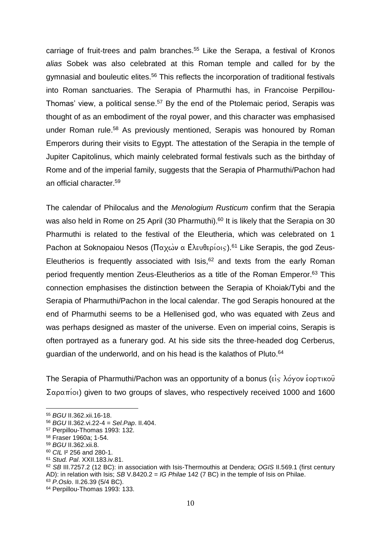carriage of fruit-trees and palm branches. <sup>55</sup> Like the Serapa, a festival of Kronos *alias* Sobek was also celebrated at this Roman temple and called for by the gymnasial and bouleutic elites.<sup>56</sup> This reflects the incorporation of traditional festivals into Roman sanctuaries. The Serapia of Pharmuthi has, in Francoise Perpillou-Thomas' view, a political sense.<sup>57</sup> By the end of the Ptolemaic period, Serapis was thought of as an embodiment of the royal power, and this character was emphasised under Roman rule.<sup>58</sup> As previously mentioned, Serapis was honoured by Roman Emperors during their visits to Egypt. The attestation of the Serapia in the temple of Jupiter Capitolinus, which mainly celebrated formal festivals such as the birthday of Rome and of the imperial family, suggests that the Serapia of Pharmuthi/Pachon had an official character. 59

The calendar of Philocalus and the *Menologium Rusticum* confirm that the Serapia was also held in Rome on 25 April (30 Pharmuthi).<sup>60</sup> It is likely that the Serapia on 30 Pharmuthi is related to the festival of the Eleutheria, which was celebrated on 1 Pachon at Soknopaiou Nesos (Παχών α Ελευθερίοις).<sup>61</sup> Like Serapis, the god Zeus-Eleutherios is frequently associated with  $\text{Isis}, {}^{62}$  and texts from the early Roman period frequently mention Zeus-Eleutherios as a title of the Roman Emperor.<sup>63</sup> This connection emphasises the distinction between the Serapia of Khoiak/Tybi and the Serapia of Pharmuthi/Pachon in the local calendar. The god Serapis honoured at the end of Pharmuthi seems to be a Hellenised god, who was equated with Zeus and was perhaps designed as master of the universe. Even on imperial coins, Serapis is often portrayed as a funerary god. At his side sits the three-headed dog Cerberus, guardian of the underworld, and on his head is the kalathos of Pluto.<sup>64</sup>

The Serapia of Pharmuthi/Pachon was an opportunity of a bonus ( $\epsilon i \varsigma \lambda \acute{o} \gamma \circ \nu \acute{\epsilon} \circ \rho \tau \iota \kappa \circ \hat{\nu}$  $\sum \alpha \rho \alpha \pi$  (oi) given to two groups of slaves, who respectively received 1000 and 1600

<sup>55</sup> *BGU* II.362.xii.16-18.

<sup>56</sup> *BGU* II.362.vi.22-4 = *Sel.Pap*. II.404.

<sup>57</sup> Perpillou-Thomas 1993: 132.

<sup>58</sup> Fraser 1960a; 1-54.

<sup>59</sup> *BGU* II.362.xii.8.

<sup>60</sup> *CIL* I² 256 and 280-1.

<sup>61</sup> *Stud. Pal*. XXII.183.iv.81.

<sup>62</sup> *SB* III.7257.2 (12 BC): in association with Isis-Thermouthis at Dendera; *OGIS* II.569.1 (first century AD): in relation with Isis; *SB* V.8420.2 = *IG Philae* 142 (7 BC) in the temple of Isis on Philae.

<sup>63</sup> *P.Oslo*. II.26.39 (5/4 BC).

<sup>64</sup> Perpillou-Thomas 1993: 133.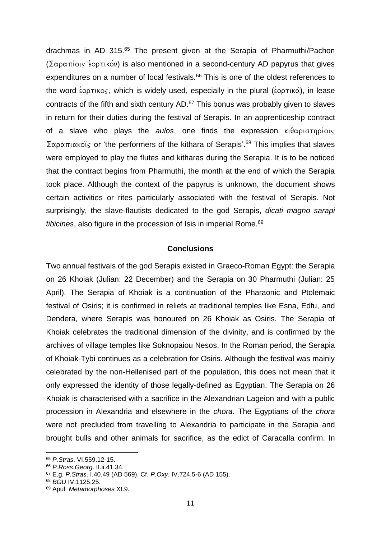drachmas in AD 315. <sup>65</sup> The present given at the Serapia of Pharmuthi/Pachon ( $\sum \alpha \rho \alpha \pi$ iois *i* optikov) is also mentioned in a second-century AD papyrus that gives expenditures on a number of local festivals.<sup>66</sup> This is one of the oldest references to the word  $\epsilon_{\text{optikog}}$ , which is widely used, especially in the plural ( $\epsilon_{\text{optikaj}}$ ), in lease contracts of the fifth and sixth century  $AD<sup>67</sup>$  This bonus was probably given to slaves in return for their duties during the festival of Serapis. In an apprenticeship contract of a slave who plays the *aulos*, one finds the expression  $\kappa_1 \theta \alpha \rho_1 \sigma_1 \sigma_1 \sigma_2$  $\sum$ αραπιακοΐς or 'the performers of the kithara of Serapis'.<sup>68</sup> This implies that slaves were employed to play the flutes and kitharas during the Serapia. It is to be noticed that the contract begins from Pharmuthi, the month at the end of which the Serapia took place. Although the context of the papyrus is unknown, the document shows certain activities or rites particularly associated with the festival of Serapis. Not surprisingly, the slave-flautists dedicated to the god Serapis, *dicati magno sarapi tibicines*, also figure in the procession of Isis in imperial Rome.<sup>69</sup>

## **Conclusions**

Two annual festivals of the god Serapis existed in Graeco-Roman Egypt: the Serapia on 26 Khoiak (Julian: 22 December) and the Serapia on 30 Pharmuthi (Julian: 25 April). The Serapia of Khoiak is a continuation of the Pharaonic and Ptolemaic festival of Osiris; it is confirmed in reliefs at traditional temples like Esna, Edfu, and Dendera, where Serapis was honoured on 26 Khoiak as Osiris. The Serapia of Khoiak celebrates the traditional dimension of the divinity, and is confirmed by the archives of village temples like Soknopaiou Nesos. In the Roman period, the Serapia of Khoiak-Tybi continues as a celebration for Osiris. Although the festival was mainly celebrated by the non-Hellenised part of the population, this does not mean that it only expressed the identity of those legally-defined as Egyptian. The Serapia on 26 Khoiak is characterised with a sacrifice in the Alexandrian Lageion and with a public procession in Alexandria and elsewhere in the *chora*. The Egyptians of the *chora* were not precluded from travelling to Alexandria to participate in the Serapia and brought bulls and other animals for sacrifice, as the edict of Caracalla confirm. In

<sup>65</sup> *P.Stras*. VI.559.12-15.

<sup>66</sup> *P.Ross.Georg*. II.ii.41.34.

<sup>67</sup> E.g. *P.Stras*. I.40.49 (AD 569). Cf. *P.Oxy*. IV.724.5-6 (AD 155).

<sup>68</sup> *BGU* IV.1125.25.

<sup>69</sup> Apul. *Metamorphoses* XI.9.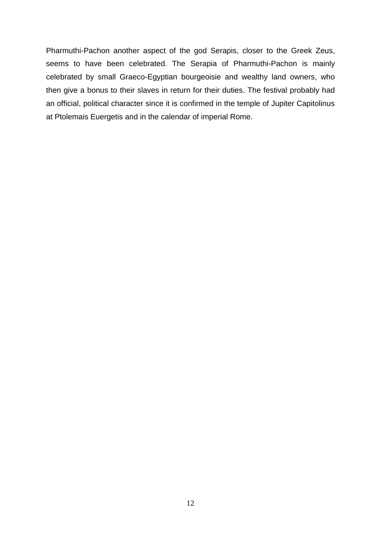Pharmuthi-Pachon another aspect of the god Serapis, closer to the Greek Zeus, seems to have been celebrated. The Serapia of Pharmuthi-Pachon is mainly celebrated by small Graeco-Egyptian bourgeoisie and wealthy land owners, who then give a bonus to their slaves in return for their duties. The festival probably had an official, political character since it is confirmed in the temple of Jupiter Capitolinus at Ptolemais Euergetis and in the calendar of imperial Rome.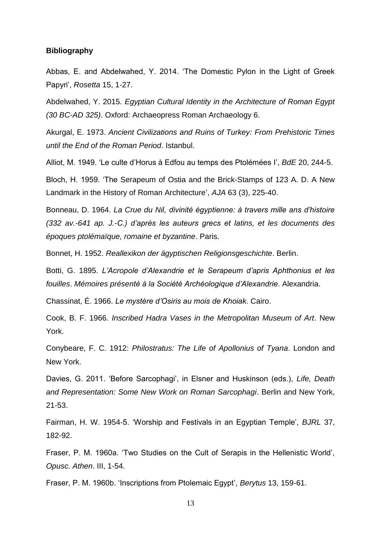## **Bibliography**

Abbas, E. and Abdelwahed, Y. 2014. 'The Domestic Pylon in the Light of Greek Papyri', *Rosetta* 15, 1-27.

Abdelwahed, Y. 2015. *Egyptian Cultural Identity in the Architecture of Roman Egypt (30 BC-AD 325)*. Oxford: Archaeopress Roman Archaeology 6.

Akurgal, E. 1973. *Ancient Civilizations and Ruins of Turkey: From Prehistoric Times until the End of the Roman Period*. Istanbul.

Alliot, M. 1949. 'Le culte d'Horus à Edfou au temps des Ptolémées I', *BdE* 20, 244-5.

Bloch, H. 1959. 'The Serapeum of Ostia and the Brick-Stamps of 123 A. D. A New Landmark in the History of Roman Architecture', *AJA* 63 (3), 225-40.

Bonneau, D. 1964. *La Crue du Nil, divinité égyptienne: à travers mille ans d'histoire (332 av.-641 ap. J.-C.) d'après les auteurs grecs et latins, et les documents des époques ptolémaïque, romaine et byzantine*. Paris.

Bonnet, H. 1952. *Reallexikon der ägyptischen Religionsgeschichte*. Berlin.

Botti, G. 1895. *L'Acropole d'Alexandrie et le Serapeum d'apris Aphthonius et les fouilles*. *Mémoires présenté à la Société Archéologique d'Alexandrie*. Alexandria.

Chassinat, É. 1966. *Le mystère d'Osiris au mois de Khoiak*. Cairo.

Cook, B. F. 1966. *Inscribed Hadra Vases in the Metropolitan Museum of Art*. New York.

Conybeare, F. C. 1912: *Philostratus: The Life of Apollonius of Tyana*. London and New York.

Davies, G. 2011. 'Before Sarcophagi', in Elsner and Huskinson (eds.), *Life, Death and Representation: Some New Work on Roman Sarcophagi*. Berlin and New York, 21-53.

Fairman, H. W. 1954-5. 'Worship and Festivals in an Egyptian Temple', *BJRL* 37, 182-92.

Fraser, P. M. 1960a. 'Two Studies on the Cult of Serapis in the Hellenistic World', *Opusc. Athen*. III, 1-54.

Fraser, P. M. 1960b. 'Inscriptions from Ptolemaic Egypt', *Berytus* 13, 159-61.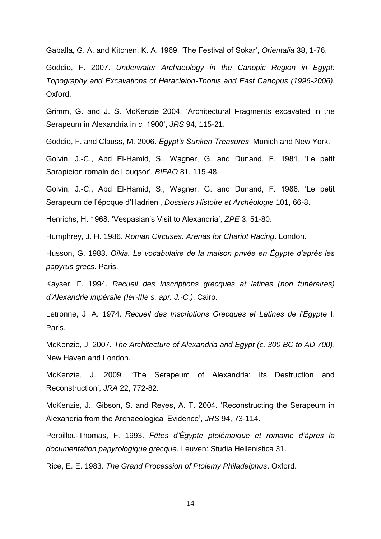Gaballa, G. A. and Kitchen, K. A. 1969. 'The Festival of Sokar', *Orientalia* 38, 1-76.

Goddio, F. 2007. *Underwater Archaeology in the Canopic Region in Egypt: Topography and Excavations of Heracleion-Thonis and East Canopus (1996-2006)*. Oxford.

Grimm, G. and J. S. McKenzie 2004. 'Architectural Fragments excavated in the Serapeum in Alexandria in *c.* 1900', *JRS* 94, 115-21.

Goddio, F. and Clauss, M. 2006. *Egypt's Sunken Treasures*. Munich and New York.

Golvin, J.-C., Abd El-Hamid, S., Wagner, G. and Dunand, F. 1981. 'Le petit Sarapieion romain de Louqsor', *BIFAO* 81, 115-48.

Golvin, J.-C., Abd El-Hamid, S., Wagner, G. and Dunand, F. 1986. 'Le petit Serapeum de l'époque d'Hadrien', *Dossiers Histoire et Archéologie* 101, 66-8.

Henrichs, H. 1968. 'Vespasian's Visit to Alexandria', *ZPE* 3, 51-80.

Humphrey, J. H. 1986. *Roman Circuses: Arenas for Chariot Racing*. London.

Husson, G. 1983. *Oikia. Le vocabulaire de la maison privée en Égypte d'après les papyrus grecs*. Paris.

Kayser, F. 1994. *Recueil des Inscriptions grecques at latines (non funéraires) d'Alexandrie impéraile (Ier-IIIe s. apr. J.-C.)*. Cairo.

Letronne, J. A. 1974. *Recueil des Inscriptions Grecques et Latines de l'Égypte* I. Paris.

McKenzie, J. 2007. *The Architecture of Alexandria and Egypt (c. 300 BC to AD 700)*. New Haven and London.

McKenzie, J. 2009. 'The Serapeum of Alexandria: Its Destruction and Reconstruction', *JRA* 22, 772-82.

McKenzie, J., Gibson, S. and Reyes, A. T. 2004. 'Reconstructing the Serapeum in Alexandria from the Archaeological Evidence', *JRS* 94, 73-114.

Perpillou-Thomas, F. 1993. *Fêtes d'Égypte ptolémaique et romaine d'àpres la documentation papyrologique grecque*. Leuven: Studia Hellenistica 31.

Rice, E. E. 1983. *The Grand Procession of Ptolemy Philadelphus*. Oxford.

14